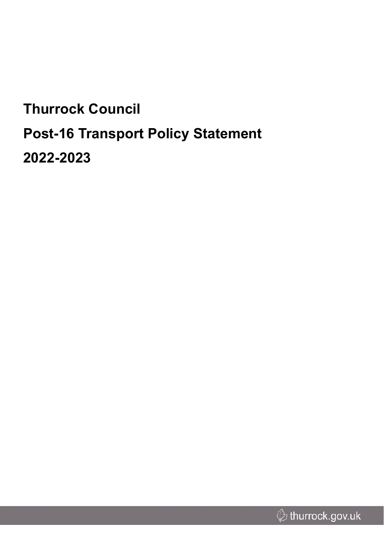# **Thurrock Council Post-16 Transport Policy Statement 2022-2023**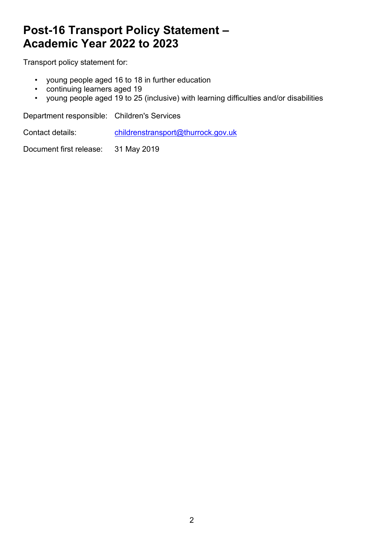# **Post-16 Transport Policy Statement – Academic Year 2022 to 2023**

Transport policy statement for:

- young people aged 16 to 18 in further education
- continuing learners aged 19
- young people aged 19 to 25 (inclusive) with learning difficulties and/or disabilities

Department responsible: Children's Services

Contact details: [childrenstransport@thurrock.gov.uk](mailto:childrenstransport@thurrock.gov.uk)

Document first release: 31 May 2019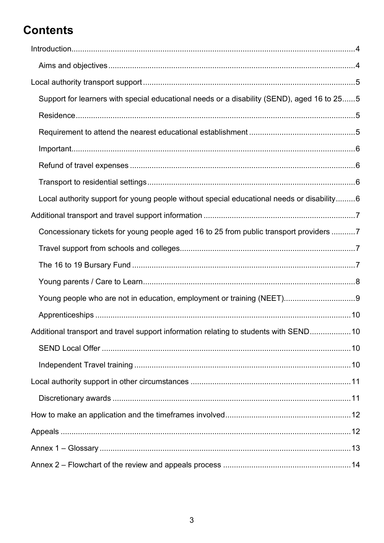# **Contents**

| Support for learners with special educational needs or a disability (SEND), aged 16 to 255 |  |
|--------------------------------------------------------------------------------------------|--|
|                                                                                            |  |
|                                                                                            |  |
|                                                                                            |  |
|                                                                                            |  |
|                                                                                            |  |
| Local authority support for young people without special educational needs or disability6  |  |
|                                                                                            |  |
| Concessionary tickets for young people aged 16 to 25 from public transport providers 7     |  |
|                                                                                            |  |
|                                                                                            |  |
|                                                                                            |  |
|                                                                                            |  |
|                                                                                            |  |
|                                                                                            |  |
| Additional transport and travel support information relating to students with SEND 10      |  |
|                                                                                            |  |
|                                                                                            |  |
|                                                                                            |  |
|                                                                                            |  |
|                                                                                            |  |
|                                                                                            |  |
|                                                                                            |  |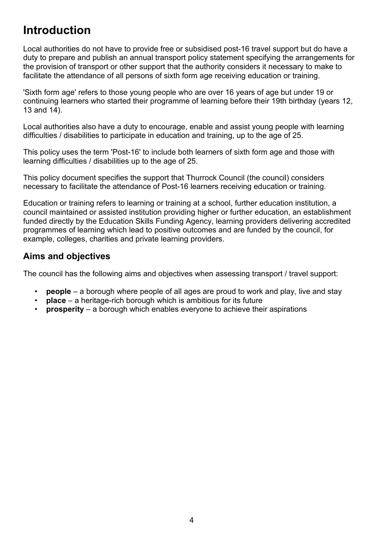# <span id="page-3-0"></span>**Introduction**

Local authorities do not have to provide free or subsidised post-16 travel support but do have a duty to prepare and publish an annual transport policy statement specifying the arrangements for the provision of transport or other support that the authority considers it necessary to make to facilitate the attendance of all persons of sixth form age receiving education or training.

'Sixth form age' refers to those young people who are over 16 years of age but under 19 or continuing learners who started their programme of learning before their 19th birthday (years 12, 13 and 14).

Local authorities also have a duty to encourage, enable and assist young people with learning difficulties / disabilities to participate in education and training, up to the age of 25.

This policy uses the term 'Post-16' to include both learners of sixth form age and those with learning difficulties / disabilities up to the age of 25.

This policy document specifies the support that Thurrock Council (the council) considers necessary to facilitate the attendance of Post-16 learners receiving education or training.

Education or training refers to learning or training at a school, further education institution, a council maintained or assisted institution providing higher or further education, an establishment funded directly by the Education Skills Funding Agency, learning providers delivering accredited programmes of learning which lead to positive outcomes and are funded by the council, for example, colleges, charities and private learning providers.

### <span id="page-3-1"></span>**Aims and objectives**

The council has the following aims and objectives when assessing transport / travel support:

- **people** a borough where people of all ages are proud to work and play, live and stay
- **place** a heritage-rich borough which is ambitious for its future
- **prosperity** a borough which enables everyone to achieve their aspirations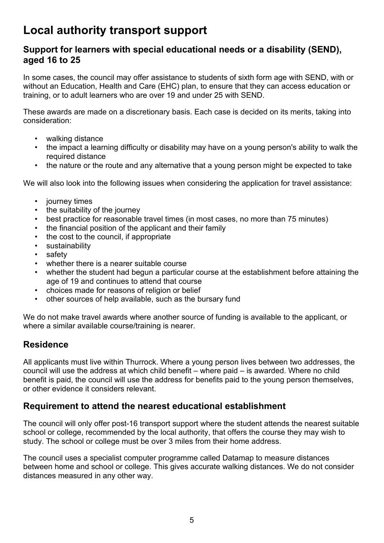# <span id="page-4-0"></span>**Local authority transport support**

### <span id="page-4-1"></span>**Support for learners with special educational needs or a disability (SEND), aged 16 to 25**

In some cases, the council may offer assistance to students of sixth form age with SEND, with or without an Education, Health and Care (EHC) plan, to ensure that they can access education or training, or to adult learners who are over 19 and under 25 with SEND.

These awards are made on a discretionary basis. Each case is decided on its merits, taking into consideration:

- walking distance
- the impact a learning difficulty or disability may have on a young person's ability to walk the required distance
- the nature or the route and any alternative that a young person might be expected to take

We will also look into the following issues when considering the application for travel assistance:

- journey times
- the suitability of the journey
- best practice for reasonable travel times (in most cases, no more than 75 minutes)
- the financial position of the applicant and their family
- the cost to the council, if appropriate
- sustainability
- safety
- whether there is a nearer suitable course
- whether the student had begun a particular course at the establishment before attaining the age of 19 and continues to attend that course
- choices made for reasons of religion or belief
- other sources of help available, such as the bursary fund

We do not make travel awards where another source of funding is available to the applicant, or where a similar available course/training is nearer.

### <span id="page-4-2"></span>**Residence**

All applicants must live within Thurrock. Where a young person lives between two addresses, the council will use the address at which child benefit – where paid – is awarded. Where no child benefit is paid, the council will use the address for benefits paid to the young person themselves, or other evidence it considers relevant.

#### <span id="page-4-3"></span>**Requirement to attend the nearest educational establishment**

The council will only offer post-16 transport support where the student attends the nearest suitable school or college, recommended by the local authority, that offers the course they may wish to study. The school or college must be over 3 miles from their home address.

The council uses a specialist computer programme called Datamap to measure distances between home and school or college. This gives accurate walking distances. We do not consider distances measured in any other way.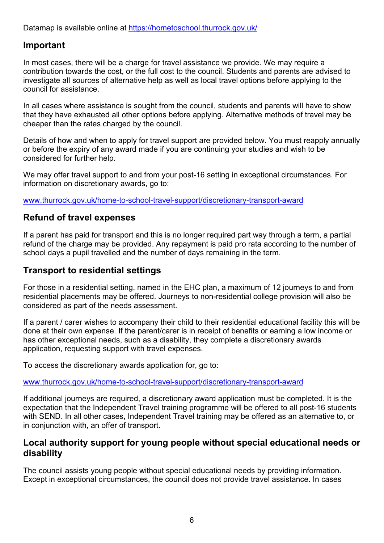Datamap is available online at <https://hometoschool.thurrock.gov.uk/>

### <span id="page-5-0"></span>**Important**

In most cases, there will be a charge for travel assistance we provide. We may require a contribution towards the cost, or the full cost to the council. Students and parents are advised to investigate all sources of alternative help as well as local travel options before applying to the council for assistance.

In all cases where assistance is sought from the council, students and parents will have to show that they have exhausted all other options before applying. Alternative methods of travel may be cheaper than the rates charged by the council.

Details of how and when to apply for travel support are provided below. You must reapply annually or before the expiry of any award made if you are continuing your studies and wish to be considered for further help.

We may offer travel support to and from your post-16 setting in exceptional circumstances. For information on discretionary awards, go to:

[www.thurrock.gov.uk/home-to-school-travel-support/discretionary-transport-award](http://www.thurrock.gov.uk/home-to-school-travel-support/discretionary-transport-award)

#### <span id="page-5-1"></span>**Refund of travel expenses**

If a parent has paid for transport and this is no longer required part way through a term, a partial refund of the charge may be provided. Any repayment is paid pro rata according to the number of school days a pupil travelled and the number of days remaining in the term.

### <span id="page-5-2"></span>**Transport to residential settings**

For those in a residential setting, named in the EHC plan, a maximum of 12 journeys to and from residential placements may be offered. Journeys to non-residential college provision will also be considered as part of the needs assessment.

If a parent / carer wishes to accompany their child to their residential educational facility this will be done at their own expense. If the parent/carer is in receipt of benefits or earning a low income or has other exceptional needs, such as a disability, they complete a discretionary awards application, requesting support with travel expenses.

To access the discretionary awards application for, go to:

[www.thurrock.gov.uk/home-to-school-travel-support/discretionary-transport-award](http://www.thurrock.gov.uk/home-to-school-travel-support/discretionary-transport-award)

If additional journeys are required, a discretionary award application must be completed. It is the expectation that the Independent Travel training programme will be offered to all post-16 students with SEND. In all other cases, Independent Travel training may be offered as an alternative to, or in conjunction with, an offer of transport.

#### <span id="page-5-3"></span>**Local authority support for young people without special educational needs or disability**

The council assists young people without special educational needs by providing information. Except in exceptional circumstances, the council does not provide travel assistance. In cases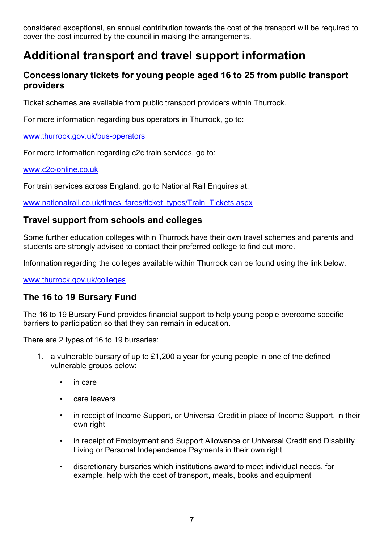considered exceptional, an annual contribution towards the cost of the transport will be required to cover the cost incurred by the council in making the arrangements.

# <span id="page-6-0"></span>**Additional transport and travel support information**

### <span id="page-6-1"></span>**Concessionary tickets for young people aged 16 to 25 from public transport providers**

Ticket schemes are available from public transport providers within Thurrock.

For more information regarding bus operators in Thurrock, go to:

#### [www.thurrock.gov.uk/bus-operators](http://www.thurrock.gov.uk/bus-operators)

For more information regarding c2c train services, go to:

#### [www.c2c-online.co.uk](http://www.c2c-online.co.uk/)

For train services across England, go to National Rail Enquires at:

[www.nationalrail.co.uk/times\\_fares/ticket\\_types/Train\\_Tickets.aspx](https://www.nationalrail.co.uk/times_fares/ticket_types/Train_Tickets.aspx)

### <span id="page-6-2"></span>**Travel support from schools and colleges**

Some further education colleges within Thurrock have their own travel schemes and parents and students are strongly advised to contact their preferred college to find out more.

Information regarding the colleges available within Thurrock can be found using the link below.

[www.thurrock.gov.uk/colleges](http://www.thurrock.gov.uk/colleges)

### <span id="page-6-3"></span>**The 16 to 19 Bursary Fund**

The 16 to 19 Bursary Fund provides financial support to help young people overcome specific barriers to participation so that they can remain in education.

There are 2 types of 16 to 19 bursaries:

- 1. a vulnerable bursary of up to £1,200 a year for young people in one of the defined vulnerable groups below:
	- in care
	- care leavers
	- in receipt of Income Support, or Universal Credit in place of Income Support, in their own right
	- in receipt of Employment and Support Allowance or Universal Credit and Disability Living or Personal Independence Payments in their own right
	- discretionary bursaries which institutions award to meet individual needs, for example, help with the cost of transport, meals, books and equipment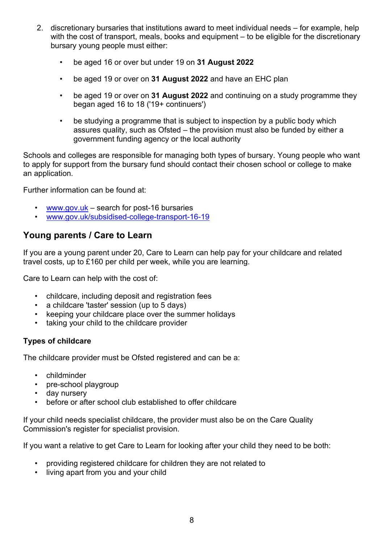- 2. discretionary bursaries that institutions award to meet individual needs for example, help with the cost of transport, meals, books and equipment – to be eligible for the discretionary bursary young people must either:
	- be aged 16 or over but under 19 on **31 August 2022**
	- be aged 19 or over on **31 August 2022** and have an EHC plan
	- be aged 19 or over on **31 August 2022** and continuing on a study programme they began aged 16 to 18 ('19+ continuers')
	- be studying a programme that is subject to inspection by a public body which assures quality, such as Ofsted – the provision must also be funded by either a government funding agency or the local authority

Schools and colleges are responsible for managing both types of bursary. Young people who want to apply for support from the bursary fund should contact their chosen school or college to make an application.

Further information can be found at:

- [www.gov.uk](http://www.gov.uk/)  search for post-16 bursaries
- [www.gov.uk/subsidised-college-transport-16-19](http://www.gov.uk/subsidised-college-transport-16-19)

### <span id="page-7-0"></span>**Young parents / Care to Learn**

If you are a young parent under 20, Care to Learn can help pay for your childcare and related travel costs, up to £160 per child per week, while you are learning.

Care to Learn can help with the cost of:

- childcare, including deposit and registration fees
- a childcare 'taster' session (up to 5 days)
- keeping your childcare place over the summer holidays
- taking your child to the childcare provider

#### **Types of childcare**

The childcare provider must be Ofsted registered and can be a:

- childminder
- pre-school playgroup
- day nursery
- before or after school club established to offer childcare

If your child needs specialist childcare, the provider must also be on the Care Quality Commission's register for specialist provision.

If you want a relative to get Care to Learn for looking after your child they need to be both:

- providing registered childcare for children they are not related to
- living apart from you and your child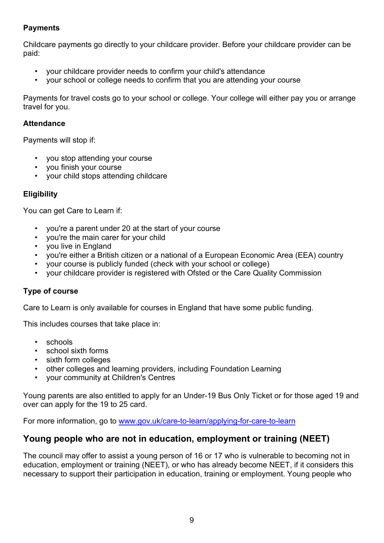#### **Payments**

Childcare payments go directly to your childcare provider. Before your childcare provider can be paid:

- your childcare provider needs to confirm your child's attendance
- your school or college needs to confirm that you are attending your course

Payments for travel costs go to your school or college. Your college will either pay you or arrange travel for you.

#### **Attendance**

Payments will stop if:

- you stop attending your course
- you finish your course
- your child stops attending childcare

#### **Eligibility**

You can get Care to Learn if:

- you're a parent under 20 at the start of your course
- you're the main carer for your child
- you live in England
- you're either a British citizen or a national of a European Economic Area (EEA) country
- your course is publicly funded (check with your school or college)
- your childcare provider is registered with Ofsted or the Care Quality Commission

#### **Type of course**

Care to Learn is only available for courses in England that have some public funding.

This includes courses that take place in:

- schools
- school sixth forms
- sixth form colleges
- other colleges and learning providers, including Foundation Learning
- your community at Children's Centres

Young parents are also entitled to apply for an Under-19 Bus Only Ticket or for those aged 19 and over can apply for the 19 to 25 card.

For more information, go to [www.gov.uk/care-to-learn/applying-for-care-to-learn](http://www.gov.uk/care-to-learn/applying-for-care-to-learn)

### <span id="page-8-0"></span>**Young people who are not in education, employment or training (NEET)**

The council may offer to assist a young person of 16 or 17 who is vulnerable to becoming not in education, employment or training (NEET), or who has already become NEET, if it considers this necessary to support their participation in education, training or employment. Young people who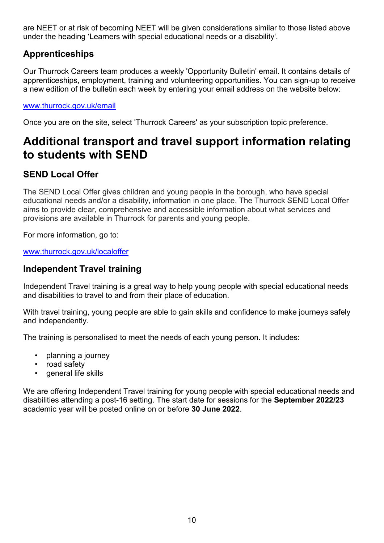are NEET or at risk of becoming NEET will be given considerations similar to those listed above under the heading 'Learners with special educational needs or a disability'.

# <span id="page-9-0"></span>**Apprenticeships**

Our Thurrock Careers team produces a weekly 'Opportunity Bulletin' email. It contains details of apprenticeships, employment, training and volunteering opportunities. You can sign-up to receive a new edition of the bulletin each week by entering your email address on the website below:

#### [www.thurrock.gov.uk/email](http://www.thurrock.gov.uk/email)

Once you are on the site, select 'Thurrock Careers' as your subscription topic preference.

# <span id="page-9-1"></span>**Additional transport and travel support information relating to students with SEND**

# <span id="page-9-2"></span>**SEND Local Offer**

The SEND Local Offer gives children and young people in the borough, who have special educational needs and/or a disability, information in one place. The Thurrock SEND Local Offer aims to provide clear, comprehensive and accessible information about what services and provisions are available in Thurrock for parents and young people.

For more information, go to:

[www.thurrock.gov.uk/localoffer](http://www.thurrock.gov.uk/localoffer)

### <span id="page-9-3"></span>**Independent Travel training**

Independent Travel training is a great way to help young people with special educational needs and disabilities to travel to and from their place of education.

With travel training, young people are able to gain skills and confidence to make journeys safely and independently.

The training is personalised to meet the needs of each young person. It includes:

- planning a journey
- road safety
- general life skills

We are offering Independent Travel training for young people with special educational needs and disabilities attending a post-16 setting. The start date for sessions for the **September 2022/23** academic year will be posted online on or before **30 June 2022**.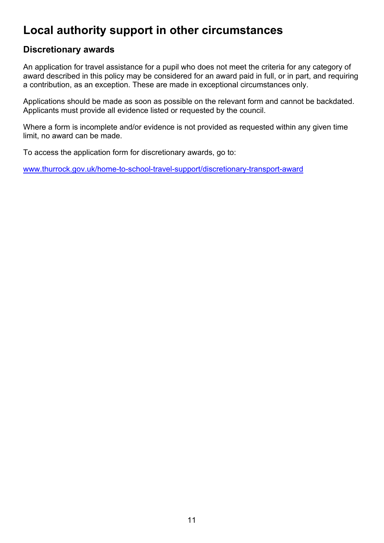# <span id="page-10-0"></span>**Local authority support in other circumstances**

### <span id="page-10-1"></span>**Discretionary awards**

An application for travel assistance for a pupil who does not meet the criteria for any category of award described in this policy may be considered for an award paid in full, or in part, and requiring a contribution, as an exception. These are made in exceptional circumstances only.

Applications should be made as soon as possible on the relevant form and cannot be backdated. Applicants must provide all evidence listed or requested by the council.

Where a form is incomplete and/or evidence is not provided as requested within any given time limit, no award can be made.

To access the application form for discretionary awards, go to:

[www.thurrock.gov.uk/home-to-school-travel-support/discretionary-transport-award](http://www.thurrock.gov.uk/home-to-school-travel-support/discretionary-transport-award)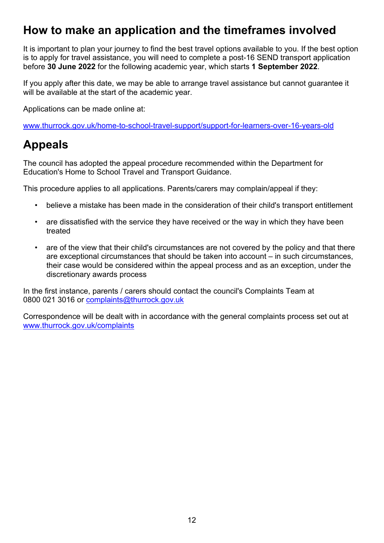# <span id="page-11-0"></span>**How to make an application and the timeframes involved**

It is important to plan your journey to find the best travel options available to you. If the best option is to apply for travel assistance, you will need to complete a post-16 SEND transport application before **30 June 2022** for the following academic year, which starts **1 September 2022**.

If you apply after this date, we may be able to arrange travel assistance but cannot guarantee it will be available at the start of the academic year.

Applications can be made online at:

[www.thurrock.gov.uk/home-to-school-travel-support/support-for-learners-over-16-years-old](http://www.thurrock.gov.uk/home-to-school-travel-support/support-for-learners-over-16-years-old)

# <span id="page-11-1"></span>**Appeals**

The council has adopted the appeal procedure recommended within the Department for Education's Home to School Travel and Transport Guidance.

This procedure applies to all applications. Parents/carers may complain/appeal if they:

- believe a mistake has been made in the consideration of their child's transport entitlement
- are dissatisfied with the service they have received or the way in which they have been treated
- are of the view that their child's circumstances are not covered by the policy and that there are exceptional circumstances that should be taken into account – in such circumstances, their case would be considered within the appeal process and as an exception, under the discretionary awards process

In the first instance, parents / carers should contact the council's Complaints Team at 0800 021 3016 or [complaints@thurrock.gov.uk](mailto:complaints@thurrock.gov.uk)

Correspondence will be dealt with in accordance with the general complaints process set out at [www.thurrock.gov.uk/complaints](http://www.thurrock.gov.uk/complaints)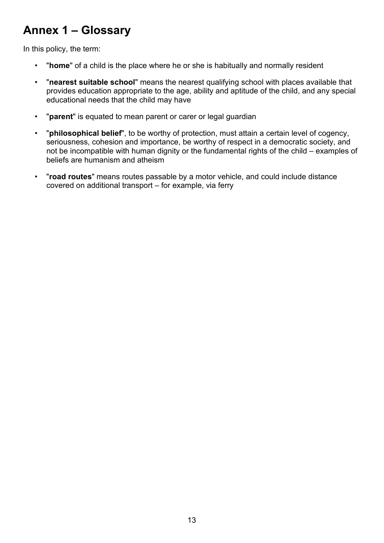# <span id="page-12-0"></span>**Annex 1 – Glossary**

In this policy, the term:

- "**home**" of a child is the place where he or she is habitually and normally resident
- "**nearest suitable school**" means the nearest qualifying school with places available that provides education appropriate to the age, ability and aptitude of the child, and any special educational needs that the child may have
- "**parent**" is equated to mean parent or carer or legal guardian
- "**philosophical belief**", to be worthy of protection, must attain a certain level of cogency, seriousness, cohesion and importance, be worthy of respect in a democratic society, and not be incompatible with human dignity or the fundamental rights of the child – examples of beliefs are humanism and atheism
- "**road routes**" means routes passable by a motor vehicle, and could include distance covered on additional transport – for example, via ferry